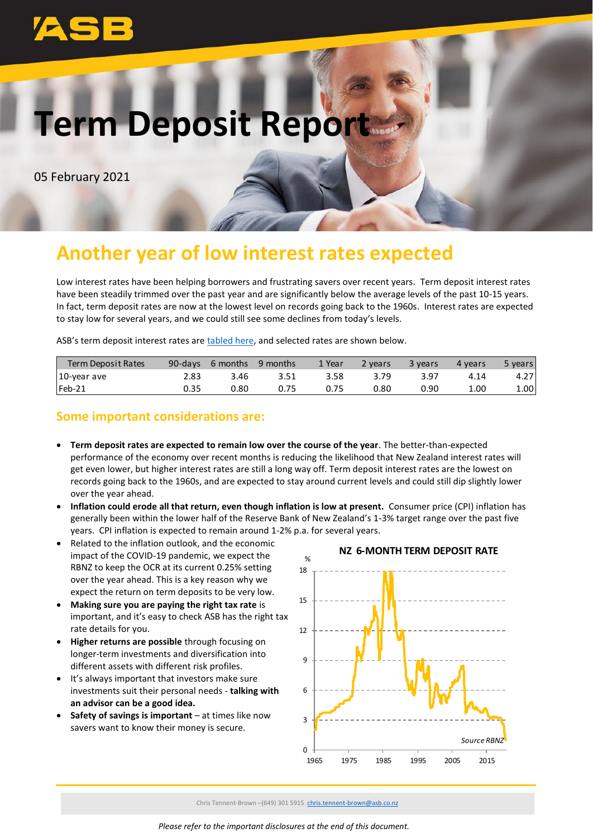# **Term Deposit Report**

05 February 2021

## **Another year of low interest rates expected**

Low interest rates have been helping borrowers and frustrating savers over recent years. Term deposit interest rates have been steadily trimmed over the past year and are significantly below the average levels of the past 10-15 years. In fact, term deposit rates are now at the lowest level on records going back to the 1960s. Interest rates are expected to stay low for several years, and we could still see some declines from today's levels.

ASB's term deposit interest rates are [tabled here,](https://www.asb.co.nz/term-investments/term-investment-rates.html) and selected rates are shown below.

| <b>Term Deposit Rates</b> | 90-days | 6 months | 9 months | 1 Year | <b>P</b> years | 3 years | 4 years | 5 years           |
|---------------------------|---------|----------|----------|--------|----------------|---------|---------|-------------------|
| 10-year ave               |         | 3.46     | 3.51     | 3.58   | 3.79           | 3.97    | 4.14    | 4.27 <sup>1</sup> |
| $Feb-21$                  | 0.35    | 0.80     | 0.75     |        | 0.80           | 0.90    | 1.00    | 1.00              |

## **Some important considerations are:**

- **Term deposit rates are expected to remain low over the course of the year**. The better-than-expected performance of the economy over recent months is reducing the likelihood that New Zealand interest rates will get even lower, but higher interest rates are still a long way off. Term deposit interest rates are the lowest on records going back to the 1960s, and are expected to stay around current levels and could still dip slightly lower over the year ahead.
- **Inflation could erode all that return, even though inflation is low at present.** Consumer price (CPI) inflation has generally been within the lower half of the Reserve Bank of New Zealand's 1-3% target range over the past five years. CPI inflation is expected to remain around 1-2% p.a. for several years.
- Related to the inflation outlook, and the economic impact of the COVID-19 pandemic, we expect the RBNZ to keep the OCR at its current 0.25% setting over the year ahead. This is a key reason why we expect the return on term deposits to be very low.
- **Making sure you are paying the right tax rate** is important, and it's easy to check ASB has the right tax rate details for you.
- **Higher returns are possible** through focusing on longer-term investments and diversification into different assets with different risk profiles.
- It's always important that investors make sure investments suit their personal needs - **talking with an advisor can be a good idea.**
- **Safety of savings is important** at times like now savers want to know their money is secure.



Chris Tennent-Brown –(649) 301 5915 [chris.tennent-brown@asb.co.nz](mailto:chris.tennent-brown@asb.co.nz)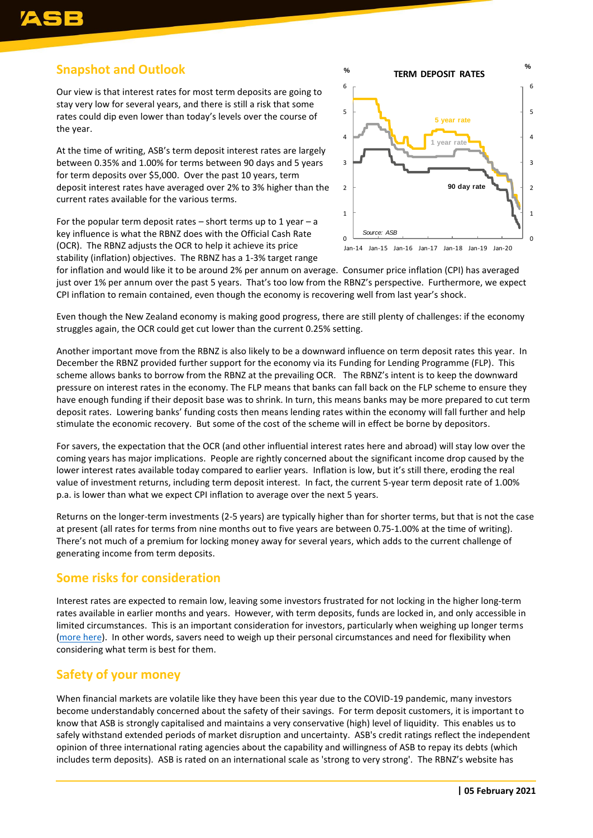## **Snapshot and Outlook**

Our view is that interest rates for most term deposits are going to stay very low for several years, and there is still a risk that some rates could dip even lower than today's levels over the course of the year.

At the time of writing, ASB's term deposit interest rates are largely between 0.35% and 1.00% for terms between 90 days and 5 years for term deposits over \$5,000. Over the past 10 years, term deposit interest rates have averaged over 2% to 3% higher than the current rates available for the various terms.

For the popular term deposit rates – short terms up to 1 year – a key influence is what the RBNZ does with the Official Cash Rate (OCR). The RBNZ adjusts the OCR to help it achieve its price stability (inflation) objectives. The RBNZ has a 1-3% target range



for inflation and would like it to be around 2% per annum on average. Consumer price inflation (CPI) has averaged just over 1% per annum over the past 5 years. That's too low from the RBNZ's perspective. Furthermore, we expect CPI inflation to remain contained, even though the economy is recovering well from last year's shock.

Even though the New Zealand economy is making good progress, there are still plenty of challenges: if the economy struggles again, the OCR could get cut lower than the current 0.25% setting.

Another important move from the RBNZ is also likely to be a downward influence on term deposit rates this year. In December the RBNZ provided further support for the economy via its Funding for Lending Programme (FLP). This scheme allows banks to borrow from the RBNZ at the prevailing OCR. The RBNZ's intent is to keep the downward pressure on interest rates in the economy. The FLP means that banks can fall back on the FLP scheme to ensure they have enough funding if their deposit base was to shrink. In turn, this means banks may be more prepared to cut term deposit rates. Lowering banks' funding costs then means lending rates within the economy will fall further and help stimulate the economic recovery. But some of the cost of the scheme will in effect be borne by depositors.

For savers, the expectation that the OCR (and other influential interest rates here and abroad) will stay low over the coming years has major implications. People are rightly concerned about the significant income drop caused by the lower interest rates available today compared to earlier years. Inflation is low, but it's still there, eroding the real value of investment returns, including term deposit interest. In fact, the current 5-year term deposit rate of 1.00% p.a. is lower than what we expect CPI inflation to average over the next 5 years.

Returns on the longer-term investments (2-5 years) are typically higher than for shorter terms, but that is not the case at present (all rates for terms from nine months out to five years are between 0.75-1.00% at the time of writing). There's not much of a premium for locking money away for several years, which adds to the current challenge of generating income from term deposits.

### **Some risks for consideration**

Interest rates are expected to remain low, leaving some investors frustrated for not locking in the higher long-term rates available in earlier months and years. However, with term deposits, funds are locked in, and only accessible in limited circumstances. This is an important consideration for investors, particularly when weighing up longer terms [\(more here\)](https://www.asb.co.nz/documents/term-investments/term-deposit-early-withdrawal-information.html). In other words, savers need to weigh up their personal circumstances and need for flexibility when considering what term is best for them.

### **Safety of your money**

When financial markets are volatile like they have been this year due to the COVID-19 pandemic, many investors become understandably concerned about the safety of their savings. For term deposit customers, it is important to know that ASB is strongly capitalised and maintains a very conservative (high) level of liquidity. This enables us to safely withstand extended periods of market disruption and uncertainty. ASB's credit ratings reflect the independent opinion of three international rating agencies about the capability and willingness of ASB to repay its debts (which includes term deposits). ASB is rated on an international scale as 'strong to very strong'. The RBNZ's website has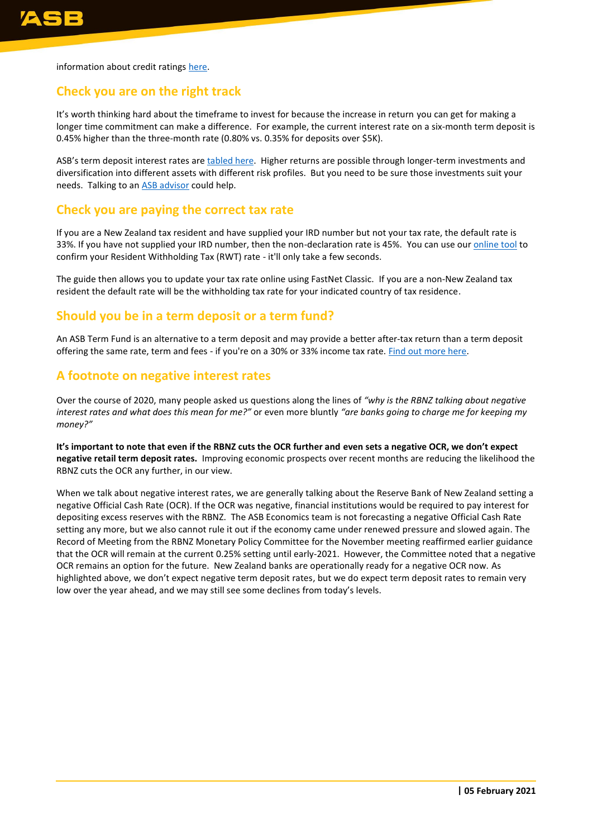information about credit ratings [here.](https://www.rbnz.govt.nz/regulation-and-supervision/banks/prudential-requirements/credit-ratings)

#### **Check you are on the right track**

It's worth thinking hard about the timeframe to invest for because the increase in return you can get for making a longer time commitment can make a difference. For example, the current interest rate on a six-month term deposit is 0.45% higher than the three-month rate (0.80% vs. 0.35% for deposits over \$5K).

ASB's term deposit interest rates are [tabled here.](https://www.asb.co.nz/term-investments/term-investment-rates.html) Higher returns are possible through longer-term investments and diversification into different assets with different risk profiles. But you need to be sure those investments suit your needs. Talking to an [ASB advisor](https://www.asb.co.nz/banking-with-asb/wealth-advisory-service.html) could help.

#### **Check you are paying the correct tax rate**

If you are a New Zealand tax resident and have supplied your IRD number but not your tax rate, the default rate is 33%. If you have not supplied your IRD number, then the non-declaration rate is 45%. You can use ou[r online tool](https://www.asb.co.nz/term-investments/rwt-calculator.html) to confirm your Resident Withholding Tax (RWT) rate - it'll only take a few seconds.

The guide then allows you to update your tax rate online using FastNet Classic. If you are a non-New Zealand tax resident the default rate will be the withholding tax rate for your indicated country of tax residence.

#### **Should you be in a term deposit or a term fund?**

An ASB Term Fund is an alternative to a term deposit and may provide a better after-tax return than a term deposit offering the same rate, term and fees - if you're on a 30% or 33% income tax rate. [Find out more here.](https://www.asb.co.nz/term-investments/asb-term-fund.html)

#### **A footnote on negative interest rates**

Over the course of 2020, many people asked us questions along the lines of *"why is the RBNZ talking about negative interest rates and what does this mean for me?"* or even more bluntly *"are banks going to charge me for keeping my money?"*

**It's important to note that even if the RBNZ cuts the OCR further and even sets a negative OCR, we don't expect negative retail term deposit rates.** Improving economic prospects over recent months are reducing the likelihood the RBNZ cuts the OCR any further, in our view.

When we talk about negative interest rates, we are generally talking about the Reserve Bank of New Zealand setting a negative Official Cash Rate (OCR). If the OCR was negative, financial institutions would be required to pay interest for depositing excess reserves with the RBNZ. The ASB Economics team is not forecasting a negative Official Cash Rate setting any more, but we also cannot rule it out if the economy came under renewed pressure and slowed again. The Record of Meeting from the RBNZ Monetary Policy Committee for the November meeting reaffirmed earlier guidance that the OCR will remain at the current 0.25% setting until early-2021. However, the Committee noted that a negative OCR remains an option for the future. New Zealand banks are operationally ready for a negative OCR now. As highlighted above, we don't expect negative term deposit rates, but we do expect term deposit rates to remain very low over the year ahead, and we may still see some declines from today's levels.